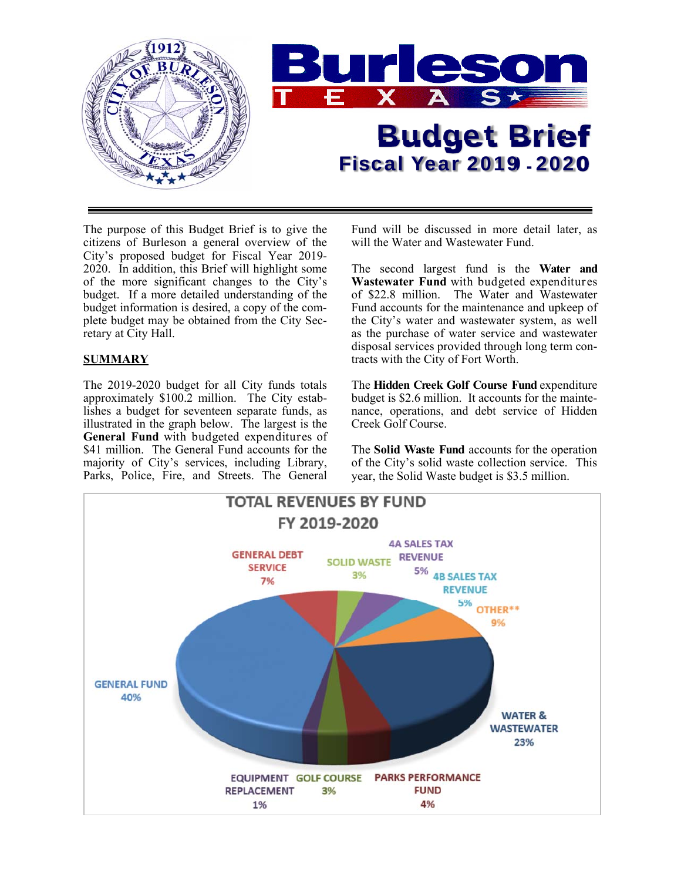

The purpose of this Budget Brief is to give the citizens of Burleson a general overview of the City's proposed budget for Fiscal Year 2019- 2020. In addition, this Brief will highlight some of the more significant changes to the City's budget. If a more detailed understanding of the budget information is desired, a copy of the complete budget may be obtained from the City Secretary at City Hall.

## **SUMMARY**

The 2019-2020 budget for all City funds totals approximately \$100.2 million. The City establishes a budget for seventeen separate funds, as illustrated in the graph below. The largest is the **General Fund** with budgeted expenditures of \$41 million. The General Fund accounts for the majority of City's services, including Library, Parks, Police, Fire, and Streets. The General Fund will be discussed in more detail later, as will the Water and Wastewater Fund.

The second largest fund is the **Water and Wastewater Fund** with budgeted expenditures of \$22.8 million. The Water and Wastewater Fund accounts for the maintenance and upkeep of the City's water and wastewater system, as well as the purchase of water service and wastewater disposal services provided through long term contracts with the City of Fort Worth.

The **Hidden Creek Golf Course Fund** expenditure budget is \$2.6 million. It accounts for the maintenance, operations, and debt service of Hidden Creek Golf Course.

The **Solid Waste Fund** accounts for the operation of the City's solid waste collection service. This year, the Solid Waste budget is \$3.5 million.

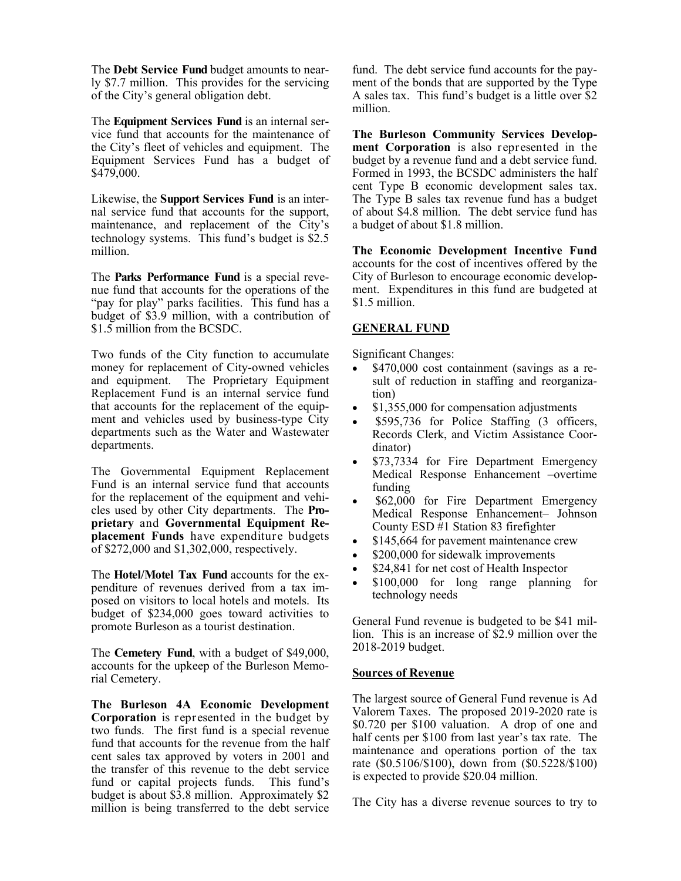The **Debt Service Fund** budget amounts to nearly \$7.7 million. This provides for the servicing of the City's general obligation debt.

The **Equipment Services Fund** is an internal service fund that accounts for the maintenance of the City's fleet of vehicles and equipment. The Equipment Services Fund has a budget of \$479,000.

Likewise, the **Support Services Fund** is an internal service fund that accounts for the support, maintenance, and replacement of the City's technology systems. This fund's budget is \$2.5 million.

The **Parks Performance Fund** is a special revenue fund that accounts for the operations of the "pay for play" parks facilities. This fund has a budget of \$3.9 million, with a contribution of \$1.5 million from the BCSDC.

Two funds of the City function to accumulate money for replacement of City-owned vehicles and equipment. The Proprietary Equipment Replacement Fund is an internal service fund that accounts for the replacement of the equipment and vehicles used by business-type City departments such as the Water and Wastewater departments.

The Governmental Equipment Replacement Fund is an internal service fund that accounts for the replacement of the equipment and vehicles used by other City departments. The **Proprietary** and **Governmental Equipment Replacement Funds** have expenditure budgets of \$272,000 and \$1,302,000, respectively.

The **Hotel/Motel Tax Fund** accounts for the expenditure of revenues derived from a tax imposed on visitors to local hotels and motels. Its budget of \$234,000 goes toward activities to promote Burleson as a tourist destination.

The **Cemetery Fund**, with a budget of \$49,000, accounts for the upkeep of the Burleson Memorial Cemetery.

**The Burleson 4A Economic Development Corporation** is represented in the budget by two funds. The first fund is a special revenue fund that accounts for the revenue from the half cent sales tax approved by voters in 2001 and the transfer of this revenue to the debt service fund or capital projects funds. This fund's budget is about \$3.8 million. Approximately \$2 million is being transferred to the debt service

fund. The debt service fund accounts for the payment of the bonds that are supported by the Type A sales tax. This fund's budget is a little over \$2 million.

**The Burleson Community Services Development Corporation** is also represented in the budget by a revenue fund and a debt service fund. Formed in 1993, the BCSDC administers the half cent Type B economic development sales tax. The Type B sales tax revenue fund has a budget of about \$4.8 million. The debt service fund has a budget of about \$1.8 million.

**The Economic Development Incentive Fund**  accounts for the cost of incentives offered by the City of Burleson to encourage economic development. Expenditures in this fund are budgeted at \$1.5 million.

#### **GENERAL FUND**

Significant Changes:

- \$470,000 cost containment (savings as a result of reduction in staffing and reorganization)
- \$1,355,000 for compensation adjustments
- \$595,736 for Police Staffing (3 officers, Records Clerk, and Victim Assistance Coordinator)
- \$73,7334 for Fire Department Emergency Medical Response Enhancement –overtime funding
- \$62,000 for Fire Department Emergency Medical Response Enhancement– Johnson County ESD #1 Station 83 firefighter
- \$145,664 for pavement maintenance crew
- \$200,000 for sidewalk improvements
- \$24,841 for net cost of Health Inspector
- \$100,000 for long range planning for technology needs

General Fund revenue is budgeted to be \$41 million. This is an increase of \$2.9 million over the 2018-2019 budget.

#### **Sources of Revenue**

The largest source of General Fund revenue is Ad Valorem Taxes. The proposed 2019-2020 rate is \$0.720 per \$100 valuation. A drop of one and half cents per \$100 from last year's tax rate. The maintenance and operations portion of the tax rate (\$0.5106/\$100), down from (\$0.5228/\$100) is expected to provide \$20.04 million.

The City has a diverse revenue sources to try to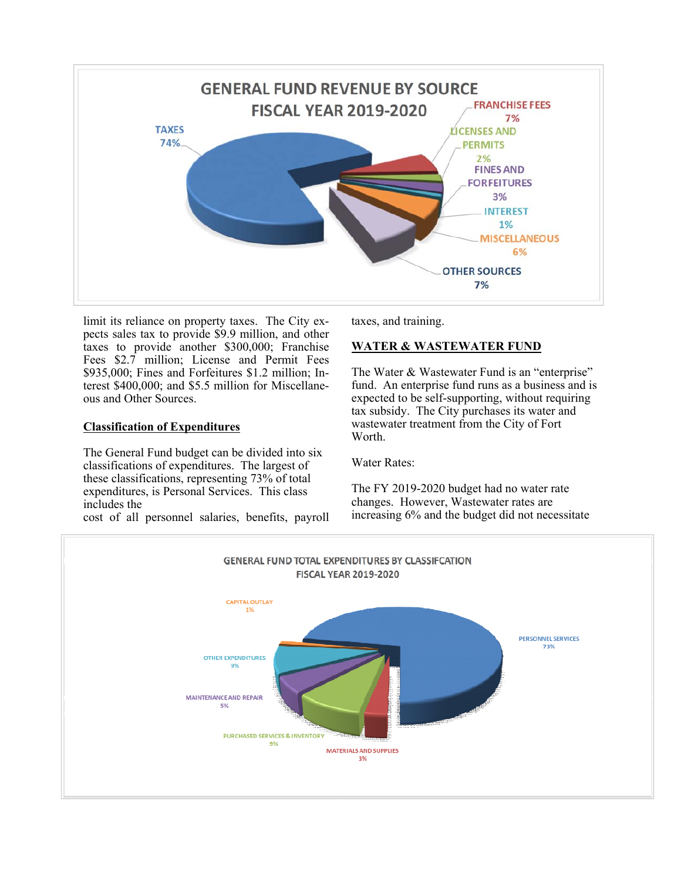

limit its reliance on property taxes. The City expects sales tax to provide \$9.9 million, and other taxes to provide another \$300,000; Franchise Fees \$2.7 million; License and Permit Fees \$935,000; Fines and Forfeitures \$1.2 million; Interest \$400,000; and \$5.5 million for Miscellaneous and Other Sources.

#### **Classification of Expenditures**

The General Fund budget can be divided into six classifications of expenditures. The largest of these classifications, representing 73% of total expenditures, is Personal Services. This class includes the

cost of all personnel salaries, benefits, payroll

taxes, and training.

## **WATER & WASTEWATER FUND**

The Water & Wastewater Fund is an "enterprise" fund. An enterprise fund runs as a business and is expected to be self-supporting, without requiring tax subsidy. The City purchases its water and wastewater treatment from the City of Fort Worth.

Water Rates:

The FY 2019-2020 budget had no water rate changes. However, Wastewater rates are increasing 6% and the budget did not necessitate